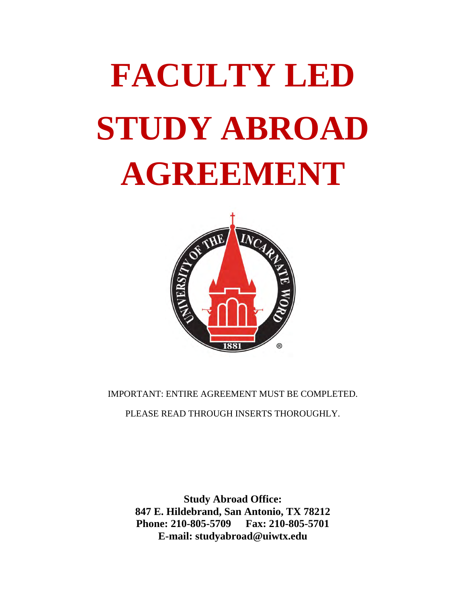# **FACULTY LED STUDY ABROAD AGREEMENT**



IMPORTANT: ENTIRE AGREEMENT MUST BE COMPLETED.

PLEASE READ THROUGH INSERTS THOROUGHLY.

**Study Abroad Office: 847 E. Hildebrand, San Antonio, TX 78212 Phone: 210-805-5709 Fax: 210-805-5701 E-mail: studyabroad@uiwtx.edu**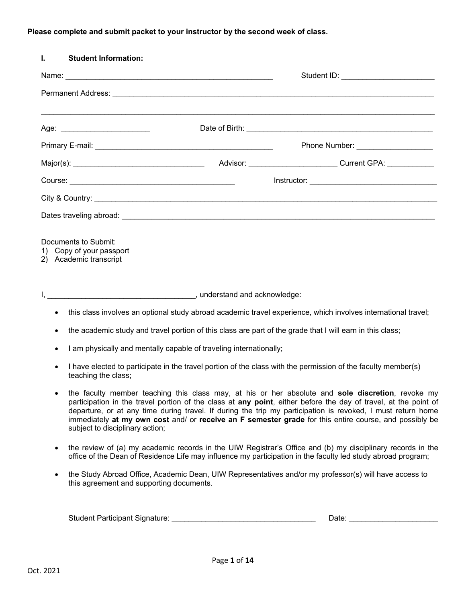#### **Please complete and submit packet to your instructor by the second week of class.**

| <b>Student Information:</b><br>L.                                       |                                                                    |                                                                                                               |
|-------------------------------------------------------------------------|--------------------------------------------------------------------|---------------------------------------------------------------------------------------------------------------|
|                                                                         |                                                                    | Student ID: __________________________                                                                        |
|                                                                         |                                                                    |                                                                                                               |
| Age: ___________________________                                        |                                                                    |                                                                                                               |
|                                                                         |                                                                    | Phone Number: ____________________                                                                            |
|                                                                         |                                                                    |                                                                                                               |
|                                                                         |                                                                    |                                                                                                               |
|                                                                         |                                                                    |                                                                                                               |
|                                                                         |                                                                    |                                                                                                               |
| Documents to Submit:<br>Copy of your passport<br>2) Academic transcript |                                                                    |                                                                                                               |
|                                                                         |                                                                    |                                                                                                               |
| $\bullet$                                                               |                                                                    | this class involves an optional study abroad academic travel experience, which involves international travel; |
| $\bullet$                                                               |                                                                    | the academic study and travel portion of this class are part of the grade that I will earn in this class;     |
| $\bullet$                                                               | I am physically and mentally capable of traveling internationally; |                                                                                                               |
| teaching the class;                                                     |                                                                    | I have elected to participate in the travel portion of the class with the permission of the faculty member(s) |

- the faculty member teaching this class may, at his or her absolute and **sole discretion**, revoke my participation in the travel portion of the class at **any point**, either before the day of travel, at the point of departure, or at any time during travel. If during the trip my participation is revoked, I must return home immediately **at my own cost** and/ or **receive an F semester grade** for this entire course, and possibly be subject to disciplinary action;
- the review of (a) my academic records in the UIW Registrar's Office and (b) my disciplinary records in the office of the Dean of Residence Life may influence my participation in the faculty led study abroad program;
- the Study Abroad Office, Academic Dean, UIW Representatives and/or my professor(s) will have access to this agreement and supporting documents.

| $C_{\text{+}}$ and $\sim$<br>ำ Participant ง<br>Signature:<br>Student<br>and the contract of the contract of the contract of the contract of the contract of the contract of the contract of the contract of the contract of the contract of the contract of the contract of the contract of the contra |  |
|---------------------------------------------------------------------------------------------------------------------------------------------------------------------------------------------------------------------------------------------------------------------------------------------------------|--|
|                                                                                                                                                                                                                                                                                                         |  |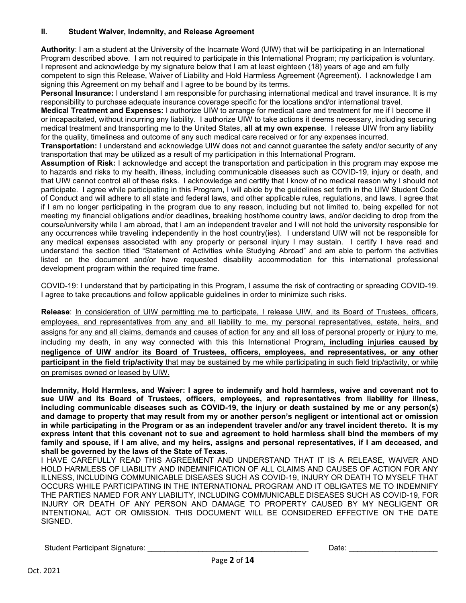#### **II. Student Waiver, Indemnity, and Release Agreement**

**Authority**: I am a student at the University of the Incarnate Word (UIW) that will be participating in an International Program described above. I am not required to participate in this International Program; my participation is voluntary. I represent and acknowledge by my signature below that I am at least eighteen (18) years of age and am fully competent to sign this Release, Waiver of Liability and Hold Harmless Agreement (Agreement). I acknowledge I am signing this Agreement on my behalf and I agree to be bound by its terms.

**Personal Insurance:** I understand I am responsible for purchasing international medical and travel insurance. It is my responsibility to purchase adequate insurance coverage specific for the locations and/or international travel.

**Medical Treatment and Expenses:** I authorize UIW to arrange for medical care and treatment for me if I become ill or incapacitated, without incurring any liability. I authorize UIW to take actions it deems necessary, including securing medical treatment and transporting me to the United States, **all at my own expense**. I release UIW from any liability for the quality, timeliness and outcome of any such medical care received or for any expenses incurred.

**Transportation:** I understand and acknowledge UIW does not and cannot guarantee the safety and/or security of any transportation that may be utilized as a result of my participation in this International Program.

**Assumption of Risk:** I acknowledge and accept the transportation and participation in this program may expose me to hazards and risks to my health, illness, including communicable diseases such as COVID-19, injury or death, and that UIW cannot control all of these risks. I acknowledge and certify that I know of no medical reason why I should not participate. I agree while participating in this Program, I will abide by the guidelines set forth in the UIW Student Code of Conduct and will adhere to all state and federal laws, and other applicable rules, regulations, and laws. I agree that if I am no longer participating in the program due to any reason, including but not limited to, being expelled for not meeting my financial obligations and/or deadlines, breaking host/home country laws, and/or deciding to drop from the course/university while I am abroad, that I am an independent traveler and I will not hold the university responsible for any occurrences while traveling independently in the host country(ies). I understand UIW will not be responsible for any medical expenses associated with any property or personal injury I may sustain. I certify I have read and understand the section titled "Statement of Activities while Studying Abroad" and am able to perform the activities listed on the document and/or have requested disability accommodation for this international professional development program within the required time frame.

COVID-19: I understand that by participating in this Program, I assume the risk of contracting or spreading COVID-19. I agree to take precautions and follow applicable guidelines in order to minimize such risks.

**Release**: In consideration of UIW permitting me to participate, I release UIW, and its Board of Trustees, officers, employees, and representatives from any and all liability to me, my personal representatives, estate, heirs, and assigns for any and all claims, demands and causes of action for any and all loss of personal property or injury to me, including my death, in any way connected with this this International Program**, including injuries caused by negligence of UIW and/or its Board of Trustees, officers, employees, and representatives, or any other participant in the field trip/activity** that may be sustained by me while participating in such field trip/activity, or while on premises owned or leased by UIW.

**Indemnity, Hold Harmless, and Waiver: I agree to indemnify and hold harmless, waive and covenant not to sue UIW and its Board of Trustees, officers, employees, and representatives from liability for illness, including communicable diseases such as COVID-19, the injury or death sustained by me or any person(s) and damage to property that may result from my or another person's negligent or intentional act or omission in while participating in the Program or as an independent traveler and/or any travel incident thereto. It is my express intent that this covenant not to sue and agreement to hold harmless shall bind the members of my family and spouse, if I am alive, and my heirs, assigns and personal representatives, if I am deceased, and shall be governed by the laws of the State of Texas.**

I HAVE CAREFULLY READ THIS AGREEMENT AND UNDERSTAND THAT IT IS A RELEASE, WAIVER AND HOLD HARMLESS OF LIABILITY AND INDEMNIFICATION OF ALL CLAIMS AND CAUSES OF ACTION FOR ANY ILLNESS, INCLUDING COMMUNICABLE DISEASES SUCH AS COVID-19, INJURY OR DEATH TO MYSELF THAT OCCURS WHILE PARTICIPATING IN THE INTERNATIONAL PROGRAM AND IT OBLIGATES ME TO INDEMNIFY THE PARTIES NAMED FOR ANY LIABILITY, INCLUDING COMMUNICABLE DISEASES SUCH AS COVID-19, FOR INJURY OR DEATH OF ANY PERSON AND DAMAGE TO PROPERTY CAUSED BY MY NEGLIGENT OR INTENTIONAL ACT OR OMISSION. THIS DOCUMENT WILL BE CONSIDERED EFFECTIVE ON THE DATE SIGNED.

Student Participant Signature: \_\_\_\_\_\_\_\_\_\_\_\_\_\_\_\_\_\_\_\_\_\_\_\_\_\_\_\_\_\_\_\_\_\_\_\_\_\_ Date: \_\_\_\_\_\_\_\_\_\_\_\_\_\_\_\_\_\_\_\_\_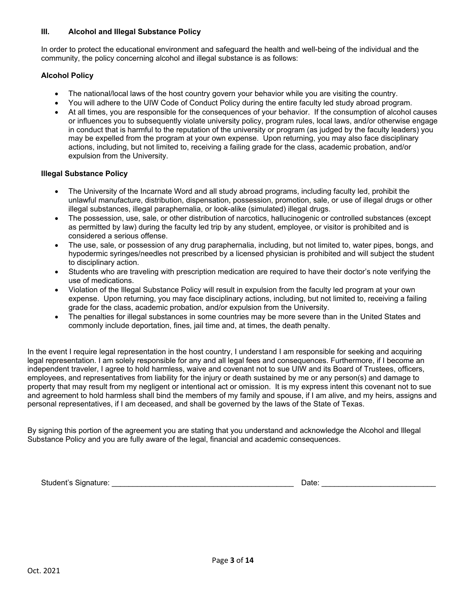#### **III. Alcohol and Illegal Substance Policy**

In order to protect the educational environment and safeguard the health and well-being of the individual and the community, the policy concerning alcohol and illegal substance is as follows:

#### **Alcohol Policy**

- The national/local laws of the host country govern your behavior while you are visiting the country.
- You will adhere to the UIW Code of Conduct Policy during the entire faculty led study abroad program.
- At all times, you are responsible for the consequences of your behavior. If the consumption of alcohol causes or influences you to subsequently violate university policy, program rules, local laws, and/or otherwise engage in conduct that is harmful to the reputation of the university or program (as judged by the faculty leaders) you may be expelled from the program at your own expense. Upon returning, you may also face disciplinary actions, including, but not limited to, receiving a failing grade for the class, academic probation, and/or expulsion from the University.

#### **Illegal Substance Policy**

- The University of the Incarnate Word and all study abroad programs, including faculty led, prohibit the unlawful manufacture, distribution, dispensation, possession, promotion, sale, or use of illegal drugs or other illegal substances, illegal paraphernalia, or look-alike (simulated) illegal drugs.
- The possession, use, sale, or other distribution of narcotics, hallucinogenic or controlled substances (except as permitted by law) during the faculty led trip by any student, employee, or visitor is prohibited and is considered a serious offense.
- The use, sale, or possession of any drug paraphernalia, including, but not limited to, water pipes, bongs, and hypodermic syringes/needles not prescribed by a licensed physician is prohibited and will subject the student to disciplinary action.
- Students who are traveling with prescription medication are required to have their doctor's note verifying the use of medications.
- Violation of the Illegal Substance Policy will result in expulsion from the faculty led program at your own expense. Upon returning, you may face disciplinary actions, including, but not limited to, receiving a failing grade for the class, academic probation, and/or expulsion from the University.
- The penalties for illegal substances in some countries may be more severe than in the United States and commonly include deportation, fines, jail time and, at times, the death penalty.

In the event I require legal representation in the host country, I understand I am responsible for seeking and acquiring legal representation. I am solely responsible for any and all legal fees and consequences. Furthermore, if I become an independent traveler, I agree to hold harmless, waive and covenant not to sue UIW and its Board of Trustees, officers, employees, and representatives from liability for the injury or death sustained by me or any person(s) and damage to property that may result from my negligent or intentional act or omission. It is my express intent this covenant not to sue and agreement to hold harmless shall bind the members of my family and spouse, if I am alive, and my heirs, assigns and personal representatives, if I am deceased, and shall be governed by the laws of the State of Texas.

By signing this portion of the agreement you are stating that you understand and acknowledge the Alcohol and Illegal Substance Policy and you are fully aware of the legal, financial and academic consequences.

Student's Signature: \_\_\_\_\_\_\_\_\_\_\_\_\_\_\_\_\_\_\_\_\_\_\_\_\_\_\_\_\_\_\_\_\_\_\_\_\_\_\_\_\_\_\_ Date: \_\_\_\_\_\_\_\_\_\_\_\_\_\_\_\_\_\_\_\_\_\_\_\_\_\_\_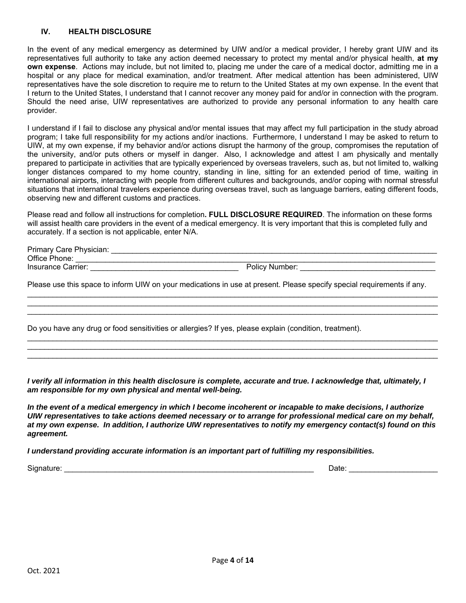#### **IV. HEALTH DISCLOSURE**

In the event of any medical emergency as determined by UIW and/or a medical provider, I hereby grant UIW and its representatives full authority to take any action deemed necessary to protect my mental and/or physical health, **at my own expense**. Actions may include, but not limited to, placing me under the care of a medical doctor, admitting me in a hospital or any place for medical examination, and/or treatment. After medical attention has been administered, UIW representatives have the sole discretion to require me to return to the United States at my own expense. In the event that I return to the United States, I understand that I cannot recover any money paid for and/or in connection with the program. Should the need arise, UIW representatives are authorized to provide any personal information to any health care provider.

I understand if I fail to disclose any physical and/or mental issues that may affect my full participation in the study abroad program; I take full responsibility for my actions and/or inactions. Furthermore, I understand I may be asked to return to UIW, at my own expense, if my behavior and/or actions disrupt the harmony of the group, compromises the reputation of the university, and/or puts others or myself in danger. Also, I acknowledge and attest I am physically and mentally prepared to participate in activities that are typically experienced by overseas travelers, such as, but not limited to, walking longer distances compared to my home country, standing in line, sitting for an extended period of time, waiting in international airports, interacting with people from different cultures and backgrounds, and/or coping with normal stressful situations that international travelers experience during overseas travel, such as language barriers, eating different foods, observing new and different customs and practices.

Please read and follow all instructions for completion**. FULL DISCLOSURE REQUIRED**. The information on these forms will assist health care providers in the event of a medical emergency. It is very important that this is completed fully and accurately. If a section is not applicable, enter N/A.

| Primary Care Physician: |                       |
|-------------------------|-----------------------|
| Office Phone:           |                       |
| Insurance Carrier:      | <b>Policy Number:</b> |

\_\_\_\_\_\_\_\_\_\_\_\_\_\_\_\_\_\_\_\_\_\_\_\_\_\_\_\_\_\_\_\_\_\_\_\_\_\_\_\_\_\_\_\_\_\_\_\_\_\_\_\_\_\_\_\_\_\_\_\_\_\_\_\_\_\_\_\_\_\_\_\_\_\_\_\_\_\_\_\_\_\_\_\_\_\_\_\_\_\_\_\_\_\_\_\_\_ \_\_\_\_\_\_\_\_\_\_\_\_\_\_\_\_\_\_\_\_\_\_\_\_\_\_\_\_\_\_\_\_\_\_\_\_\_\_\_\_\_\_\_\_\_\_\_\_\_\_\_\_\_\_\_\_\_\_\_\_\_\_\_\_\_\_\_\_\_\_\_\_\_\_\_\_\_\_\_\_\_\_\_\_\_\_\_\_\_\_\_\_\_\_\_\_\_ \_\_\_\_\_\_\_\_\_\_\_\_\_\_\_\_\_\_\_\_\_\_\_\_\_\_\_\_\_\_\_\_\_\_\_\_\_\_\_\_\_\_\_\_\_\_\_\_\_\_\_\_\_\_\_\_\_\_\_\_\_\_\_\_\_\_\_\_\_\_\_\_\_\_\_\_\_\_\_\_\_\_\_\_\_\_\_\_\_\_\_\_\_\_\_\_\_

\_\_\_\_\_\_\_\_\_\_\_\_\_\_\_\_\_\_\_\_\_\_\_\_\_\_\_\_\_\_\_\_\_\_\_\_\_\_\_\_\_\_\_\_\_\_\_\_\_\_\_\_\_\_\_\_\_\_\_\_\_\_\_\_\_\_\_\_\_\_\_\_\_\_\_\_\_\_\_\_\_\_\_\_\_\_\_\_\_\_\_\_\_\_\_\_\_ \_\_\_\_\_\_\_\_\_\_\_\_\_\_\_\_\_\_\_\_\_\_\_\_\_\_\_\_\_\_\_\_\_\_\_\_\_\_\_\_\_\_\_\_\_\_\_\_\_\_\_\_\_\_\_\_\_\_\_\_\_\_\_\_\_\_\_\_\_\_\_\_\_\_\_\_\_\_\_\_\_\_\_\_\_\_\_\_\_\_\_\_\_\_\_\_\_ \_\_\_\_\_\_\_\_\_\_\_\_\_\_\_\_\_\_\_\_\_\_\_\_\_\_\_\_\_\_\_\_\_\_\_\_\_\_\_\_\_\_\_\_\_\_\_\_\_\_\_\_\_\_\_\_\_\_\_\_\_\_\_\_\_\_\_\_\_\_\_\_\_\_\_\_\_\_\_\_\_\_\_\_\_\_\_\_\_\_\_\_\_\_\_\_\_

Please use this space to inform UIW on your medications in use at present. Please specify special requirements if any.

Do you have any drug or food sensitivities or allergies? If yes, please explain (condition, treatment).

*I verify all information in this health disclosure is complete, accurate and true. I acknowledge that, ultimately, I am responsible for my own physical and mental well-being.* 

*In the event of a medical emergency in which I become incoherent or incapable to make decisions, I authorize UIW representatives to take actions deemed necessary or to arrange for professional medical care on my behalf, at my own expense. In addition, I authorize UIW representatives to notify my emergency contact(s) found on this agreement.* 

*I understand providing accurate information is an important part of fulfilling my responsibilities.* 

Signature: \_\_\_\_\_\_\_\_\_\_\_\_\_\_\_\_\_\_\_\_\_\_\_\_\_\_\_\_\_\_\_\_\_\_\_\_\_\_\_\_\_\_\_\_\_\_\_\_\_\_\_\_\_\_\_\_\_\_\_ Date: \_\_\_\_\_\_\_\_\_\_\_\_\_\_\_\_\_\_\_\_\_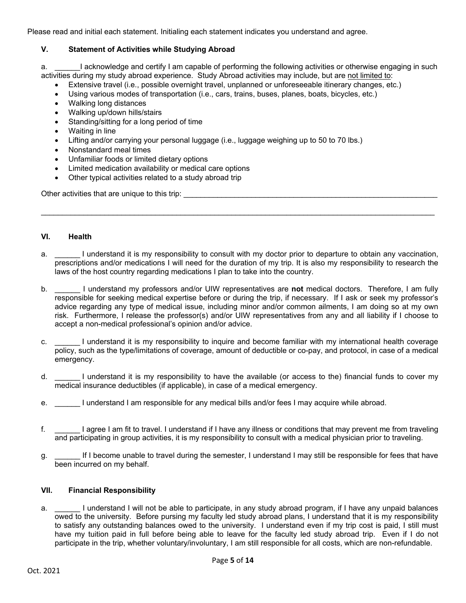Please read and initial each statement. Initialing each statement indicates you understand and agree.

#### **V. Statement of Activities while Studying Abroad**

a. **I** acknowledge and certify I am capable of performing the following activities or otherwise engaging in such activities during my study abroad experience. Study Abroad activities may include, but are not limited to:

- Extensive travel (i.e., possible overnight travel, unplanned or unforeseeable itinerary changes, etc.)
- Using various modes of transportation (i.e., cars, trains, buses, planes, boats, bicycles, etc.)
- Walking long distances
- Walking up/down hills/stairs
- Standing/sitting for a long period of time
- Waiting in line
- Lifting and/or carrying your personal luggage (i.e., luggage weighing up to 50 to 70 lbs.)
- Nonstandard meal times
- Unfamiliar foods or limited dietary options
- Limited medication availability or medical care options
- Other typical activities related to a study abroad trip

Other activities that are unique to this trip:  $\Box$ 

#### **VI. Health**

a. I understand it is my responsibility to consult with my doctor prior to departure to obtain any vaccination, prescriptions and/or medications I will need for the duration of my trip. It is also my responsibility to research the laws of the host country regarding medications I plan to take into the country.

\_\_\_\_\_\_\_\_\_\_\_\_\_\_\_\_\_\_\_\_\_\_\_\_\_\_\_\_\_\_\_\_\_\_\_\_\_\_\_\_\_\_\_\_\_\_\_\_\_\_\_\_\_\_\_\_\_\_\_\_\_\_\_\_\_\_\_\_\_\_\_\_\_\_\_\_\_\_\_\_\_\_\_\_\_\_\_\_\_\_\_\_\_

- b. \_\_\_\_\_\_ I understand my professors and/or UIW representatives are **not** medical doctors. Therefore, I am fully responsible for seeking medical expertise before or during the trip, if necessary. If I ask or seek my professor's advice regarding any type of medical issue, including minor and/or common ailments, I am doing so at my own risk. Furthermore, I release the professor(s) and/or UIW representatives from any and all liability if I choose to accept a non-medical professional's opinion and/or advice.
- c. I understand it is my responsibility to inquire and become familiar with my international health coverage policy, such as the type/limitations of coverage, amount of deductible or co-pay, and protocol, in case of a medical emergency.
- d. I understand it is my responsibility to have the available (or access to the) financial funds to cover my medical insurance deductibles (if applicable), in case of a medical emergency.
- e. \_\_\_\_\_\_ I understand I am responsible for any medical bills and/or fees I may acquire while abroad.
- f. \_\_\_\_\_\_ I agree I am fit to travel. I understand if I have any illness or conditions that may prevent me from traveling and participating in group activities, it is my responsibility to consult with a medical physician prior to traveling.
- g. \_\_\_\_\_\_ If I become unable to travel during the semester, I understand I may still be responsible for fees that have been incurred on my behalf.

#### **VII. Financial Responsibility**

a. **I** understand I will not be able to participate, in any study abroad program, if I have any unpaid balances owed to the university. Before pursing my faculty led study abroad plans, I understand that it is my responsibility to satisfy any outstanding balances owed to the university. I understand even if my trip cost is paid, I still must have my tuition paid in full before being able to leave for the faculty led study abroad trip. Even if I do not participate in the trip, whether voluntary/involuntary, I am still responsible for all costs, which are non-refundable.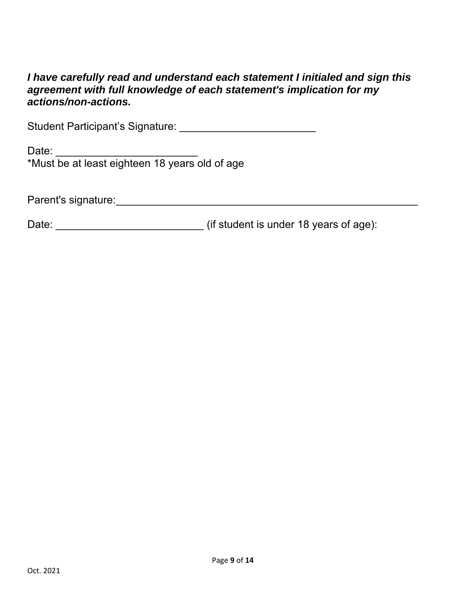## *I have carefully read and understand each statement I initialed and sign this agreement with full knowledge of each statement's implication for my actions/non-actions.*

Student Participant's Signature: \_\_\_\_\_\_\_\_\_\_\_\_\_\_\_\_\_\_\_\_\_\_\_\_\_\_\_\_

Date: \_\_\_\_\_\_\_\_\_\_\_\_\_\_\_\_\_\_\_\_\_\_\_\_\_\_\_\_\_\_\_\_ \*Must be at least eighteen 18 years old of age

Parent's signature:\_\_\_\_\_\_\_\_\_\_\_\_\_\_\_\_\_\_\_\_\_\_\_\_\_\_\_\_\_\_\_\_\_\_\_\_\_\_\_\_\_\_\_\_\_\_\_\_\_\_\_

Date: \_\_\_\_\_\_\_\_\_\_\_\_\_\_\_\_\_\_\_\_\_\_\_\_\_ (if student is under 18 years of age):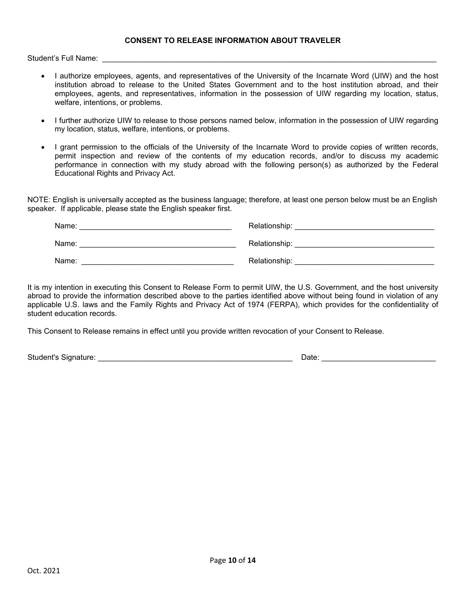#### **CONSENT TO RELEASE INFORMATION ABOUT TRAVELER**

Student's Full Name: \_\_\_\_\_\_\_\_\_\_\_\_\_\_\_\_\_\_\_\_\_\_\_\_\_\_\_\_\_\_\_\_\_\_\_\_\_\_\_\_\_\_\_\_\_\_\_\_\_\_\_\_\_\_\_\_\_\_\_\_\_\_\_\_\_\_\_\_\_\_\_\_\_\_\_\_\_\_\_

- I authorize employees, agents, and representatives of the University of the Incarnate Word (UIW) and the host institution abroad to release to the United States Government and to the host institution abroad, and their employees, agents, and representatives, information in the possession of UIW regarding my location, status, welfare, intentions, or problems.
- I further authorize UIW to release to those persons named below, information in the possession of UIW regarding my location, status, welfare, intentions, or problems.
- I grant permission to the officials of the University of the Incarnate Word to provide copies of written records, permit inspection and review of the contents of my education records, and/or to discuss my academic performance in connection with my study abroad with the following person(s) as authorized by the Federal Educational Rights and Privacy Act.

NOTE: English is universally accepted as the business language; therefore, at least one person below must be an English speaker. If applicable, please state the English speaker first.

| Name: | Relationship: |
|-------|---------------|
| Name: | Relationship: |
| Name: | Relationship: |

It is my intention in executing this Consent to Release Form to permit UIW, the U.S. Government, and the host university abroad to provide the information described above to the parties identified above without being found in violation of any applicable U.S. laws and the Family Rights and Privacy Act of 1974 (FERPA), which provides for the confidentiality of student education records.

This Consent to Release remains in effect until you provide written revocation of your Consent to Release.

Student's Signature: \_\_\_\_\_\_\_\_\_\_\_\_\_\_\_\_\_\_\_\_\_\_\_\_\_\_\_\_\_\_\_\_\_\_\_\_\_\_\_\_\_\_\_\_\_\_ Date: \_\_\_\_\_\_\_\_\_\_\_\_\_\_\_\_\_\_\_\_\_\_\_\_\_\_\_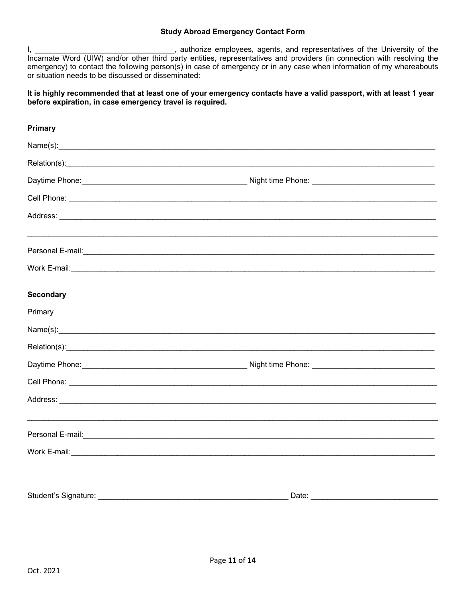#### **Study Abroad Emergency Contact Form**

I, \_\_\_\_\_\_\_\_\_\_\_\_\_\_\_\_\_\_\_\_\_\_\_\_\_\_\_\_\_\_\_\_\_, authorize employees, agents, and representatives of the University of the Incarnate Word (UIW) and/or other third party entities, representatives and providers (in connection with resolving the emergency) to contact the following person(s) in case of emergency or in any case when information of my whereabouts or situation needs to be discussed or disseminated:

#### **It is highly recommended that at least one of your emergency contacts have a valid passport, with at least 1 year before expiration, in case emergency travel is required.**

| <b>Primary</b>   |                                                                                                                                                                                                                                     |  |
|------------------|-------------------------------------------------------------------------------------------------------------------------------------------------------------------------------------------------------------------------------------|--|
|                  |                                                                                                                                                                                                                                     |  |
|                  |                                                                                                                                                                                                                                     |  |
|                  |                                                                                                                                                                                                                                     |  |
|                  |                                                                                                                                                                                                                                     |  |
|                  |                                                                                                                                                                                                                                     |  |
|                  |                                                                                                                                                                                                                                     |  |
|                  | Work E-mail: <u>Conservation of the conservation</u> of the conservation of the conservation of the conservation of the conservation of the conservation of the conservation of the conservation of the conservation of the conserv |  |
| <b>Secondary</b> |                                                                                                                                                                                                                                     |  |
| Primary          |                                                                                                                                                                                                                                     |  |
|                  |                                                                                                                                                                                                                                     |  |
|                  |                                                                                                                                                                                                                                     |  |
|                  |                                                                                                                                                                                                                                     |  |
|                  |                                                                                                                                                                                                                                     |  |
|                  |                                                                                                                                                                                                                                     |  |
|                  | Personal E-mail: <u>Communication of the contract of the contract of the contract of the contract of the contract of</u>                                                                                                            |  |
|                  |                                                                                                                                                                                                                                     |  |
|                  |                                                                                                                                                                                                                                     |  |
|                  | Date: Note: Note: Note: Note: Note: Note: Note: Note: Note: Note: Note: Note: Note: Note: Note: Note: Note: No                                                                                                                      |  |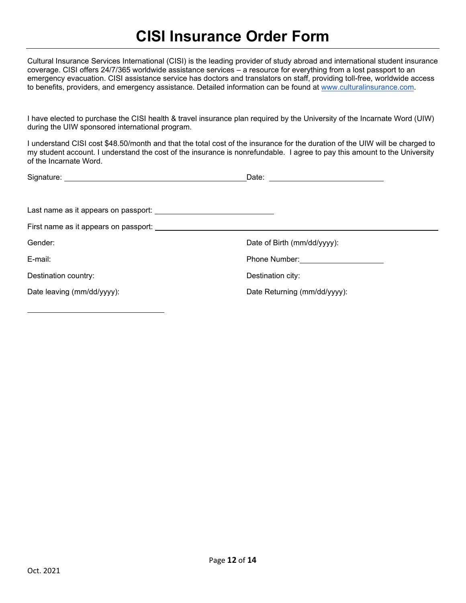## **CISI Insurance Order Form**

Cultural Insurance Services International (CISI) is the leading provider of study abroad and international student insurance coverage. CISI offers 24/7/365 worldwide assistance services – a resource for everything from a lost passport to an emergency evacuation. CISI assistance service has doctors and translators on staff, providing toll-free, worldwide access to benefits, providers, and emergency assistance. Detailed information can be found at [www.culturalinsurance.com.](http://www.culturalinsurance.com/)

I have elected to purchase the CISI health & travel insurance plan required by the University of the Incarnate Word (UIW) during the UIW sponsored international program.

I understand CISI cost \$50.74/month and that the total cost of the insurance for the duration of the UIW will be charged to my student account. I understand the cost of the insurance is nonrefundable. I agree to pay this amount to the University of the Incarnate Word.

| Signature: <u>www.community.com</u>   | Date:<br><u> 1980 - Jan Stein Stein Stein Stein Stein Stein Stein Stein Stein Stein Stein Stein Stein Stein Stein Stein S</u> |
|---------------------------------------|-------------------------------------------------------------------------------------------------------------------------------|
|                                       |                                                                                                                               |
|                                       |                                                                                                                               |
| First name as it appears on passport: |                                                                                                                               |
| Gender:                               | Date of Birth (mm/dd/yyyy):                                                                                                   |
| E-mail:                               | <b>Phone Number:</b> Phone Number:                                                                                            |
| Destination country:                  | Destination city:                                                                                                             |
| Date leaving (mm/dd/yyyy):            | Date Returning (mm/dd/yyyy):                                                                                                  |
|                                       |                                                                                                                               |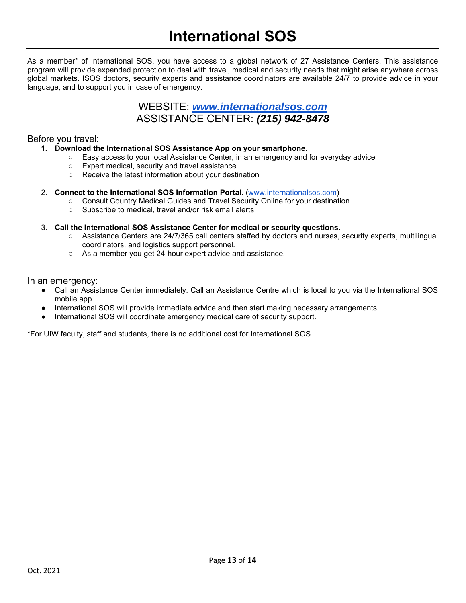# **International SOS**

As a member\* of International SOS, you have access to a global network of 27 Assistance Centers. This assistance program will provide expanded protection to deal with travel, medical and security needs that might arise anywhere across global markets. ISOS doctors, security experts and assistance coordinators are available 24/7 to provide advice in your language, and to support you in case of emergency.

### WEBSITE: *[www.internationalsos.com](http://www.internationalsos.com/)* ASSISTANCE CENTER: *(215) 942-8478*

#### Before you travel:

#### **1. Download the International SOS Assistance App on your smartphone.**

- Easy access to your local Assistance Center, in an emergency and for everyday advice
- Expert medical, security and travel assistance
- Receive the latest information about your destination

#### 2. **Connect to the International SOS Information Portal.** [\(www.internationalsos.com\)](http://www.internationalsos.com/)

- Consult Country Medical Guides and Travel Security Online for your destination
- Subscribe to medical, travel and/or risk email alerts

#### 3. **Call the International SOS Assistance Center for medical or security questions.**

- Assistance Centers are 24/7/365 call centers staffed by doctors and nurses, security experts, multilingual coordinators, and logistics support personnel.
- As a member you get 24-hour expert advice and assistance.

#### In an emergency:

- Call an Assistance Center immediately. Call an Assistance Centre which is local to you via the International SOS mobile app.
- International SOS will provide immediate advice and then start making necessary arrangements.
- International SOS will coordinate emergency medical care of security support.

\*For UIW faculty, staff and students, there is no additional cost for International SOS.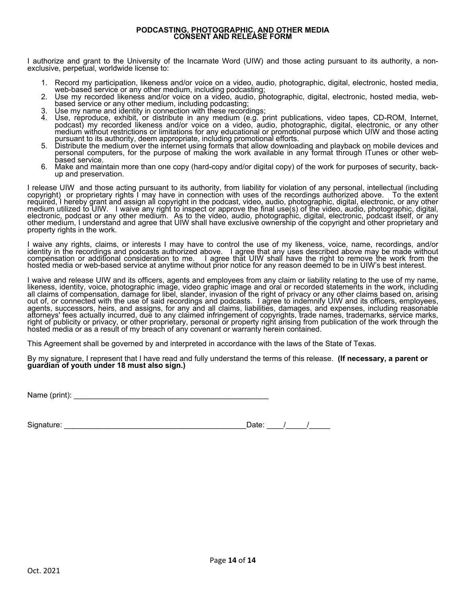## **PODCASTING, PHOTOGRAPHIC, AND OTHER MEDIA CONSENT AND RELEASE FORM**

I authorize and grant to the University of the Incarnate Word (UIW) and those acting pursuant to its authority, a non-<br>exclusive, perpetual, worldwide license to:

- 
- 
- 
- 1. Record my participation, likeness and/or voice on a video, audio, photographic, digital, electronic, hosted media, web-based service or any other medium, including podcasting;<br>2. Use my recorded likeness and/or voice on
- bursuant to its authority, deem appropriate, including promotional efforts.<br>
5. Distribute the medium over the internet using formats that allow downloading and playback on mobile devices and<br>
personal computers, for the p based service.
- 6. Make and maintain more than one copy (hard-copy and/or digital copy) of the work for purposes of security, back- up and preservation.

I release UIW and those acting pursuant to its authority, from liability for violation of any personal, intellectual (including<br>copyright) or proprietary rights I may have in connection with uses of the recordings author required, I hereby grant and assign all copyright in the podcast, video, audio, photographic, digital, electronic, or any other<br>medium utilized to UIW. I waive any right to inspect or approve the final use(s) of the video,

I waive any rights, claims, or interests I may have to control the use of my likeness, voice, name, recordings, and/or<br>identity in the recordings and podcasts authorized above. I agree that any uses described above may b compensation or additional consideration to me. I agree that UIW shall have the right to remove the work from the<br>hosted media or web-based service at anytime without prior notice for any reason deemed to be in UIW's bes

I waive and release UIW and its officers, agents and employees from any claim or liability relating to the use of my name,<br>likeness, identity, voice, photographic image, video graphic image and oral or recorded statements agents, successors, heirs, and assigns, for any and all claims, liabilities, damages, and expenses, including reasonable<br>attorneys' fees actually incurred, due to any claimed infringement of copyrights, trade names, tradem right of publicity or privacy, or other proprietary, personal or property right arising from publication of the work through the hosted media or as a result of my breach of any covenant or warranty herein contained.

This Agreement shall be governed by and interpreted in accordance with the laws of the State of Texas.

By my signature, I represent that I have read and fully understand the terms of this release. **(If necessary, a parent or** quardian of youth under 18 must also sign.)

Name (print): \_\_\_\_\_\_\_\_\_\_\_\_\_\_\_\_\_\_\_\_\_\_\_\_\_\_\_\_\_\_\_\_\_\_\_\_\_\_\_\_\_\_\_\_\_\_

Signature: \_\_\_\_\_\_\_\_\_\_\_\_\_\_\_\_\_\_\_\_\_\_\_\_\_\_\_\_\_\_\_\_\_\_\_\_\_\_\_\_\_\_\_ Date: \_\_\_\_/\_\_\_\_\_/\_\_\_\_\_